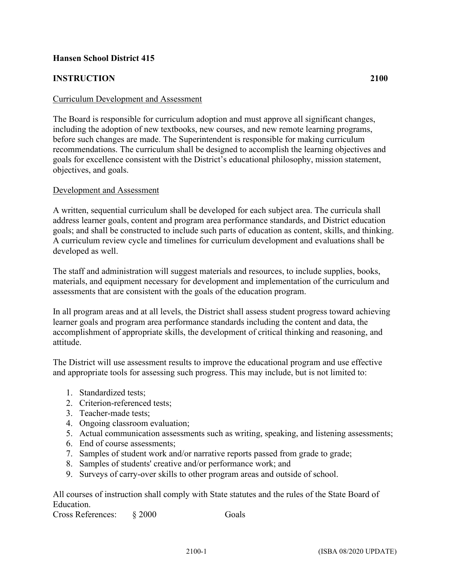## **Hansen School District 415**

## **INSTRUCTION 2100**

## Curriculum Development and Assessment

The Board is responsible for curriculum adoption and must approve all significant changes, including the adoption of new textbooks, new courses, and new remote learning programs, before such changes are made. The Superintendent is responsible for making curriculum recommendations. The curriculum shall be designed to accomplish the learning objectives and goals for excellence consistent with the District's educational philosophy, mission statement, objectives, and goals.

## Development and Assessment

A written, sequential curriculum shall be developed for each subject area. The curricula shall address learner goals, content and program area performance standards, and District education goals; and shall be constructed to include such parts of education as content, skills, and thinking. A curriculum review cycle and timelines for curriculum development and evaluations shall be developed as well.

The staff and administration will suggest materials and resources, to include supplies, books, materials, and equipment necessary for development and implementation of the curriculum and assessments that are consistent with the goals of the education program.

In all program areas and at all levels, the District shall assess student progress toward achieving learner goals and program area performance standards including the content and data, the accomplishment of appropriate skills, the development of critical thinking and reasoning, and attitude.

The District will use assessment results to improve the educational program and use effective and appropriate tools for assessing such progress. This may include, but is not limited to:

- 1. Standardized tests;
- 2. Criterion-referenced tests;
- 3. Teacher-made tests;
- 4. Ongoing classroom evaluation;
- 5. Actual communication assessments such as writing, speaking, and listening assessments;
- 6. End of course assessments;
- 7. Samples of student work and/or narrative reports passed from grade to grade;
- 8. Samples of students' creative and/or performance work; and
- 9. Surveys of carry-over skills to other program areas and outside of school.

All courses of instruction shall comply with State statutes and the rules of the State Board of Education.

Cross References:  $\&$  2000 Goals